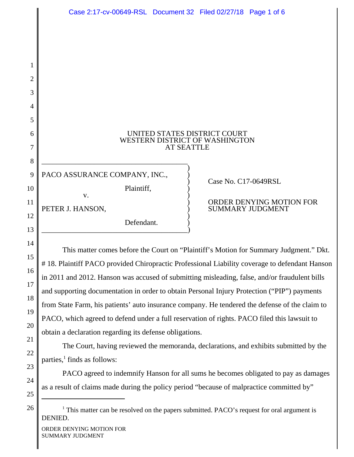| Case 2:17-cv-00649-RSL Document 32 Filed 02/27/18 Page 1 of 6 |                   |                                |                                              |
|---------------------------------------------------------------|-------------------|--------------------------------|----------------------------------------------|
|                                                               |                   |                                |                                              |
|                                                               |                   |                                |                                              |
|                                                               |                   |                                |                                              |
|                                                               |                   |                                |                                              |
|                                                               |                   |                                |                                              |
|                                                               |                   |                                |                                              |
|                                                               |                   |                                |                                              |
|                                                               |                   | UNITED STATES DISTRICT COURT   |                                              |
|                                                               | <b>AT SEATTLE</b> | WESTERN DISTRICT OF WASHINGTON |                                              |
|                                                               |                   |                                |                                              |
| PACO ASSURANCE COMPANY, INC.,                                 |                   |                                |                                              |
| Plaintiff,<br>V.                                              |                   | Case No. C17-0649RSL           |                                              |
| PETER J. HANSON,                                              |                   |                                | ORDER DENYING MOT<br><b>SUMMARY JUDGMENT</b> |
| Defendant.                                                    |                   |                                |                                              |
|                                                               |                   |                                |                                              |
|                                                               |                   |                                |                                              |

## ) ORDER DENYING MOTION FOR

This matter comes before the Court on "Plaintiff's Motion for Summary Judgment." Dkt. # 18. Plaintiff PACO provided Chiropractic Professional Liability coverage to defendant Hanson in 2011 and 2012. Hanson was accused of submitting misleading, false, and/or fraudulent bills and supporting documentation in order to obtain Personal Injury Protection ("PIP") payments from State Farm, his patients' auto insurance company. He tendered the defense of the claim to PACO, which agreed to defend under a full reservation of rights. PACO filed this lawsuit to obtain a declaration regarding its defense obligations.

The Court, having reviewed the memoranda, declarations, and exhibits submitted by the parties, $<sup>1</sup>$  finds as follows:</sup>

PACO agreed to indemnify Hanson for all sums he becomes obligated to pay as damages as a result of claims made during the policy period "because of malpractice committed by"

<sup>1</sup> This matter can be resolved on the papers submitted. PACO's request for oral argument is DENIED.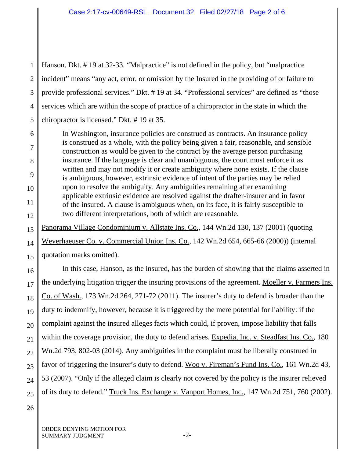1 2 3 4 5 Hanson. Dkt. # 19 at 32-33. "Malpractice" is not defined in the policy, but "malpractice incident" means "any act, error, or omission by the Insured in the providing of or failure to provide professional services." Dkt. # 19 at 34. "Professional services" are defined as "those services which are within the scope of practice of a chiropractor in the state in which the chiropractor is licensed." Dkt. # 19 at 35.

6 7 8 9 10 11 12 In Washington, insurance policies are construed as contracts. An insurance policy is construed as a whole, with the policy being given a fair, reasonable, and sensible construction as would be given to the contract by the average person purchasing insurance. If the language is clear and unambiguous, the court must enforce it as written and may not modify it or create ambiguity where none exists. If the clause is ambiguous, however, extrinsic evidence of intent of the parties may be relied upon to resolve the ambiguity. Any ambiguities remaining after examining applicable extrinsic evidence are resolved against the drafter-insurer and in favor of the insured. A clause is ambiguous when, on its face, it is fairly susceptible to two different interpretations, both of which are reasonable.

13 14 15 Panorama Village Condominium v. Allstate Ins. Co., 144 Wn.2d 130, 137 (2001) (quoting Weyerhaeuser Co. v. Commercial Union Ins. Co., 142 Wn.2d 654, 665-66 (2000)) (internal quotation marks omitted).

16 17 18 19 20 21 22 23 24 25 In this case, Hanson, as the insured, has the burden of showing that the claims asserted in the underlying litigation trigger the insuring provisions of the agreement. Moeller v. Farmers Ins. Co. of Wash., 173 Wn.2d 264, 271-72 (2011). The insurer's duty to defend is broader than the duty to indemnify, however, because it is triggered by the mere potential for liability: if the complaint against the insured alleges facts which could, if proven, impose liability that falls within the coverage provision, the duty to defend arises. Expedia, Inc. v. Steadfast Ins. Co., 180 Wn.2d 793, 802-03 (2014). Any ambiguities in the complaint must be liberally construed in favor of triggering the insurer's duty to defend. Woo v. Fireman's Fund Ins. Co., 161 Wn.2d 43, 53 (2007). "Only if the alleged claim is clearly not covered by the policy is the insurer relieved of its duty to defend." Truck Ins. Exchange v. Vanport Homes, Inc., 147 Wn.2d 751, 760 (2002).

26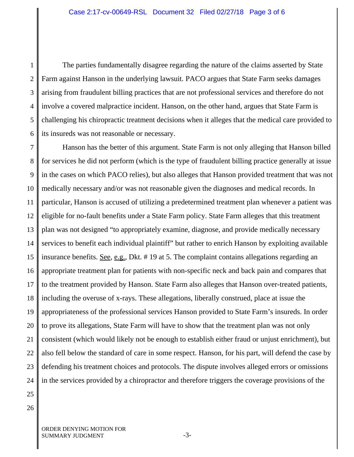1 2 3 4 5 6 The parties fundamentally disagree regarding the nature of the claims asserted by State Farm against Hanson in the underlying lawsuit. PACO argues that State Farm seeks damages arising from fraudulent billing practices that are not professional services and therefore do not involve a covered malpractice incident. Hanson, on the other hand, argues that State Farm is challenging his chiropractic treatment decisions when it alleges that the medical care provided to its insureds was not reasonable or necessary.

7 8 9 10 11 12 13 14 15 16 17 18 19 20 21 22 23 24 Hanson has the better of this argument. State Farm is not only alleging that Hanson billed for services he did not perform (which is the type of fraudulent billing practice generally at issue in the cases on which PACO relies), but also alleges that Hanson provided treatment that was not medically necessary and/or was not reasonable given the diagnoses and medical records. In particular, Hanson is accused of utilizing a predetermined treatment plan whenever a patient was eligible for no-fault benefits under a State Farm policy. State Farm alleges that this treatment plan was not designed "to appropriately examine, diagnose, and provide medically necessary services to benefit each individual plaintiff" but rather to enrich Hanson by exploiting available insurance benefits. See, e.g., Dkt. # 19 at 5. The complaint contains allegations regarding an appropriate treatment plan for patients with non-specific neck and back pain and compares that to the treatment provided by Hanson. State Farm also alleges that Hanson over-treated patients, including the overuse of x-rays. These allegations, liberally construed, place at issue the appropriateness of the professional services Hanson provided to State Farm's insureds. In order to prove its allegations, State Farm will have to show that the treatment plan was not only consistent (which would likely not be enough to establish either fraud or unjust enrichment), but also fell below the standard of care in some respect. Hanson, for his part, will defend the case by defending his treatment choices and protocols. The dispute involves alleged errors or omissions in the services provided by a chiropractor and therefore triggers the coverage provisions of the

25

26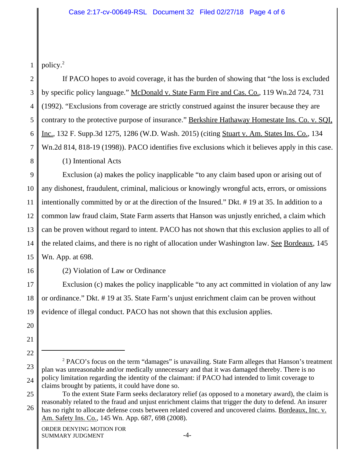1 policy.2

2 3 4 5 6 7 8 If PACO hopes to avoid coverage, it has the burden of showing that "the loss is excluded by specific policy language." McDonald v. State Farm Fire and Cas. Co., 119 Wn.2d 724, 731 (1992). "Exclusions from coverage are strictly construed against the insurer because they are contrary to the protective purpose of insurance." Berkshire Hathaway Homestate Ins. Co. v. SQI, Inc., 132 F. Supp.3d 1275, 1286 (W.D. Wash. 2015) (citing Stuart v. Am. States Ins. Co., 134 Wn.2d 814, 818-19 (1998)). PACO identifies five exclusions which it believes apply in this case. (1) Intentional Acts

9 10 11 12 13 14 15 Exclusion (a) makes the policy inapplicable "to any claim based upon or arising out of any dishonest, fraudulent, criminal, malicious or knowingly wrongful acts, errors, or omissions intentionally committed by or at the direction of the Insured." Dkt. # 19 at 35. In addition to a common law fraud claim, State Farm asserts that Hanson was unjustly enriched, a claim which can be proven without regard to intent. PACO has not shown that this exclusion applies to all of the related claims, and there is no right of allocation under Washington law. See Bordeaux, 145 Wn. App. at 698.

16

(2) Violation of Law or Ordinance

17 18 19 Exclusion (c) makes the policy inapplicable "to any act committed in violation of any law or ordinance." Dkt. # 19 at 35. State Farm's unjust enrichment claim can be proven without evidence of illegal conduct. PACO has not shown that this exclusion applies.

- 20
- 21 22

<sup>23</sup> 24 <sup>2</sup> PACO's focus on the term "damages" is unavailing. State Farm alleges that Hanson's treatment plan was unreasonable and/or medically unnecessary and that it was damaged thereby. There is no policy limitation regarding the identity of the claimant: if PACO had intended to limit coverage to claims brought by patients, it could have done so.

<sup>25</sup> 26 To the extent State Farm seeks declaratory relief (as opposed to a monetary award), the claim is reasonably related to the fraud and unjust enrichment claims that trigger the duty to defend. An insurer has no right to allocate defense costs between related covered and uncovered claims. Bordeaux, Inc. v. Am. Safety Ins. Co., 145 Wn. App. 687, 698 (2008).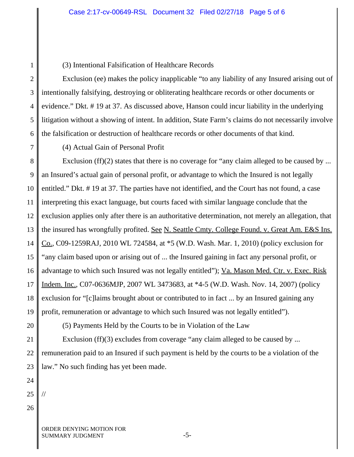## Case 2:17-cv-00649-RSL Document 32 Filed 02/27/18 Page 5 of 6

(3) Intentional Falsification of Healthcare Records

2 3 4 5 6 Exclusion (ee) makes the policy inapplicable "to any liability of any Insured arising out of intentionally falsifying, destroying or obliterating healthcare records or other documents or evidence." Dkt. # 19 at 37. As discussed above, Hanson could incur liability in the underlying litigation without a showing of intent. In addition, State Farm's claims do not necessarily involve the falsification or destruction of healthcare records or other documents of that kind.

7

1

(4) Actual Gain of Personal Profit

8 9 10 11 12 13 14 15 16 17 18 19 Exclusion (ff)(2) states that there is no coverage for "any claim alleged to be caused by ... an Insured's actual gain of personal profit, or advantage to which the Insured is not legally entitled." Dkt. # 19 at 37. The parties have not identified, and the Court has not found, a case interpreting this exact language, but courts faced with similar language conclude that the exclusion applies only after there is an authoritative determination, not merely an allegation, that the insured has wrongfully profited. See N. Seattle Cmty. College Found. v. Great Am. E&S Ins. Co., C09-1259RAJ, 2010 WL 724584, at \*5 (W.D. Wash. Mar. 1, 2010) (policy exclusion for "any claim based upon or arising out of ... the Insured gaining in fact any personal profit, or advantage to which such Insured was not legally entitled"); Va. Mason Med. Ctr. v. Exec. Risk Indem. Inc., C07-0636MJP, 2007 WL 3473683, at \*4-5 (W.D. Wash. Nov. 14, 2007) (policy exclusion for "[c]laims brought about or contributed to in fact ... by an Insured gaining any profit, remuneration or advantage to which such Insured was not legally entitled").

20

(5) Payments Held by the Courts to be in Violation of the Law

21 22 23 Exclusion (ff)(3) excludes from coverage "any claim alleged to be caused by ... remuneration paid to an Insured if such payment is held by the courts to be a violation of the law." No such finding has yet been made.

- 24
- 25 //
- 26